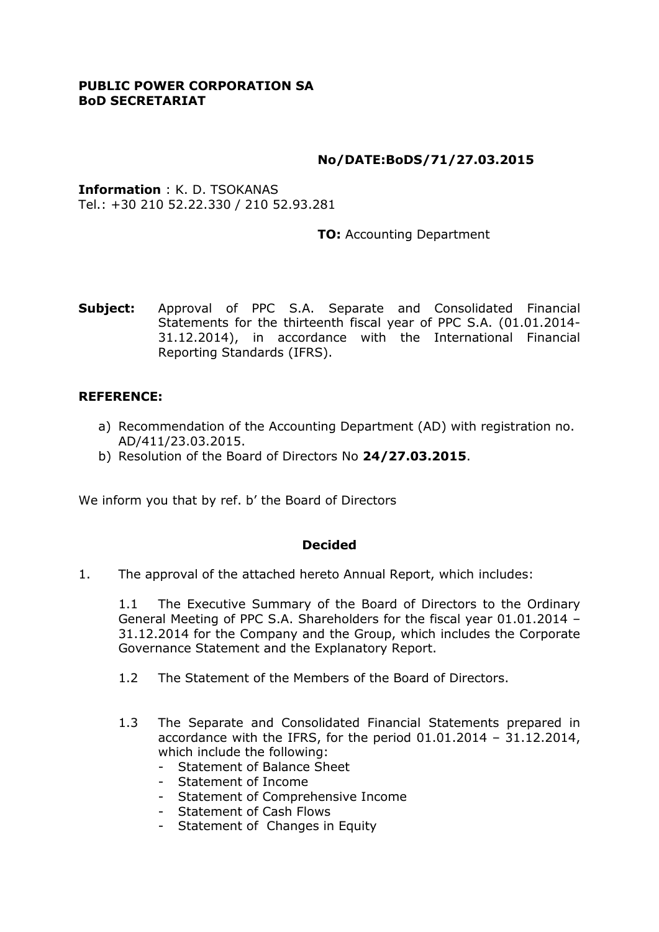### **PUBLIC POWER CORPORATION SA BoD SECRETARIAT**

## **No/DATE:BoDS/71/27.03.2015**

**Information** : K. D. TSOKANAS Tel.: +30 210 52.22.330 / 210 52.93.281

**TO:** Accounting Department

**Subject:** Approval of PPC S.A. Separate and Consolidated Financial Statements for the thirteenth fiscal year of PPC S.A. (01.01.2014- 31.12.2014), in accordance with the International Financial Reporting Standards (IFRS).

### **REFERENCE:**

- a) Recommendation of the Accounting Department (AD) with registration no. AD/411/23.03.2015.
- b) Resolution of the Board of Directors No **24/27.03.2015**.

We inform you that by ref. b' the Board of Directors

#### **Decided**

1. The approval of the attached hereto Annual Report, which includes:

1.1 The Executive Summary of the Board of Directors to the Ordinary General Meeting of PPC S.A. Shareholders for the fiscal year 01.01.2014 – 31.12.2014 for the Company and the Group, which includes the Corporate Governance Statement and the Explanatory Report.

- 1.2 The Statement of the Members of the Board of Directors.
- 1.3 The Separate and Consolidated Financial Statements prepared in accordance with the IFRS, for the period 01.01.2014 – 31.12.2014, which include the following:
	- Statement of Balance Sheet
	- Statement of Income
	- Statement of Comprehensive Income
	- Statement of Cash Flows
	- Statement of Changes in Equity